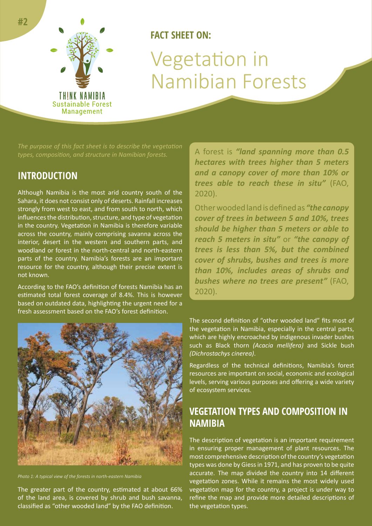

# **FACT SHEET ON:** Vegetation in Namibian Forests

*types, composition, and structure in Namibian forests.* 

## **INTRODUCTION**

Although Namibia is the most arid country south of the Sahara, it does not consist only of deserts. Rainfall increases strongly from west to east, and from south to north, which influences the distribution, structure, and type of vegetation in the country. Vegetation in Namibia is therefore variable across the country, mainly comprising savanna across the interior, desert in the western and southern parts, and woodland or forest in the north-central and north-eastern parts of the country. Namibia's forests are an important resource for the country, although their precise extent is not known.

According to the FAO's definition of forests Namibia has an estimated total forest coverage of 8.4%. This is however based on outdated data, highlighting the urgent need for a fresh assessment based on the FAO's forest definition.

A forest is *"land spanning more than 0.5 hectares with trees higher than 5 meters and a canopy cover of more than 10% or trees able to reach these in situ"* (FAO, 2020).

Other wooded land is defined as *"the canopy cover of trees in between 5 and 10%, trees should be higher than 5 meters or able to reach 5 meters in situ"* or *"the canopy of trees is less than 5%, but the combined cover of shrubs, bushes and trees is more than 10%, includes areas of shrubs and bushes where no trees are present"* (FAO, 2020).



*Photo 1: A typical view of the forests in north-eastern Namibia*

The greater part of the country, estimated at about 66% of the land area, is covered by shrub and bush savanna, classified as "other wooded land" by the FAO definition.

The second definition of "other wooded land" fits most of the vegetation in Namibia, especially in the central parts, which are highly encroached by indigenous invader bushes such as Black thorn *(Acacia mellifera)* and Sickle bush *(Dichrostachys cinerea)*.

Regardless of the technical definitions, Namibia's forest resources are important on social, economic and ecological levels, serving various purposes and offering a wide variety of ecosystem services.

# **VEGETATION TYPES AND COMPOSITION IN NAMIBIA**

The description of vegetation is an important requirement in ensuring proper management of plant resources. The most comprehensive description of the country's vegetation types was done by Giess in 1971, and has proven to be quite accurate. The map divided the country into 14 different vegetation zones. While it remains the most widely used vegetation map for the country, a project is under way to refine the map and provide more detailed descriptions of the vegetation types.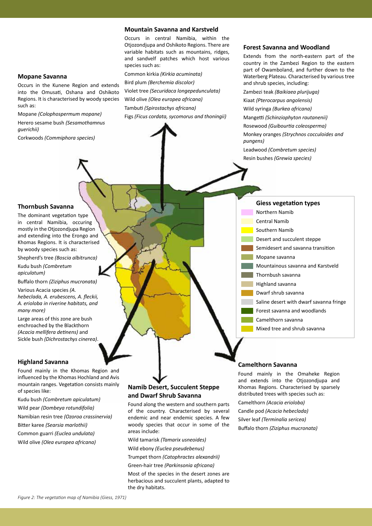### **Mountain Savanna and Karstveld**

Occurs in central Namibia, within the Otjozondjupa and Oshikoto Regions. There are variable habitats such as mountains, ridges, and sandvelf patches which host various species such as:

Common kirkia *(Kirkia acuminata)* Bird plum *(Berchemia discolor)* Violet tree *(Securidaca longepedunculata)* Wild olive *(Olea europea africana)* Tambuti *(Spirostachys africana)* Figs *(Ficus cordata, sycomorus and thoningii)*

### **Forest Savanna and Woodland**

Extends from the north-eastern part of the country in the Zambezi Region to the eastern part of Owamboland, and further down to the Waterberg Plateau. Characterised by various tree and shrub species, including:

Zambezi teak *(Baikiaea plurijuga)*

Kiaat *(Pterocarpus angolensis)*

Wild syringa *(Burkea africana)*

Mangetti *(Schinziophyton rautanenii)*

Rosewood *(Guibourtia coleosperma)*

Monkey oranges *(Strychnos cocculoides and pungens)* 

Leadwood *(Combretum species)*

Resin bushes *(Grewia species)*

### **Mopane Savanna**

Occurs in the Kunene Region and extends into the Omusati, Oshana and Oshikoto Regions. It is characterised by woody species such as:

Mopane *(Colophospermum mopane)* Herero sesame bush *(Sesamothamnus guerichii)* 

Corkwoods *(Commiphora species)*

#### **Thornbush Savanna**

The dominant vegetation type in central Namibia, occuring mostly in the Otjozondjupa Region and extending into the Erongo and Khomas Regions. It is characterised by woody species such as:

Shepherd's tree *(Boscia albitrunca)*

Kudu bush *(Combretum apiculatum)*

Buffalo thorn *(Ziziphus mucronata)*

Various Acacia species *(A. hebeclada, A. erubescens, A. fleckii, A. erioloba in riverine habitats, and many more)*

Large areas of this zone are bush enchroached by the Blackthorn *(Acacia mellifera detinens)* and Sickle bush *(Dichrostachys cinerea)*.

### **Highland Savanna**

Found mainly in the Khomas Region and influenced by the Khomas Hochland and Avis mountain ranges. Vegetation consists mainly of species like:

Kudu bush *(Combretum apiculatum)*

Wild pear *(Dombeya rotundifolia)* 

Namibian resin tree *(Ozoroa crassinervia)*

Bitter karee *(Searsia marlothii)*

Common guarri *(Euclea undulata)*

Wild olive *(Olea europea africana)*

### **Namib Desert, Succulent Steppe and Dwarf Shrub Savanna**

Found along the western and southern parts of the country. Characterised by several endemic and near endemic species. A few woody species that occur in some of the areas include:

Wild tamarisk *(Tamarix usneoides)*

Wild ebony *(Euclea pseudebenus)*

Trumpet thorn *(Catophractes alexandrii)*

Green-hair tree *(Parkinsonia africana)* 

Most of the species in the desert zones are herbacious and succulent plants, adapted to the dry habitats.

### **Giess vegetation types**

Northern Namib Central Namib Southern Namib Desert and succulent steppe Semidesert and savanna transition Mopane savanna Mountainous savanna and Karstveld Thornbush savanna Highland savanna Dwarf shrub savanna Saline desert with dwarf savanna fringe Forest savanna and woodlands Camelthorn savanna Mixed tree and shrub savanna

### **Camelthorn Savanna**

Found mainly in the Omaheke Region and extends into the Otiozondiupa and Khomas Regions. Characterised by sparsely distributed trees with species such as: Camelthorn *(Acacia erioloba)*

Candle pod *(Acacia hebeclada)* Silver leaf *(Terminalia sericea)* Buffalo thorn *(Ziziphus mucronata)*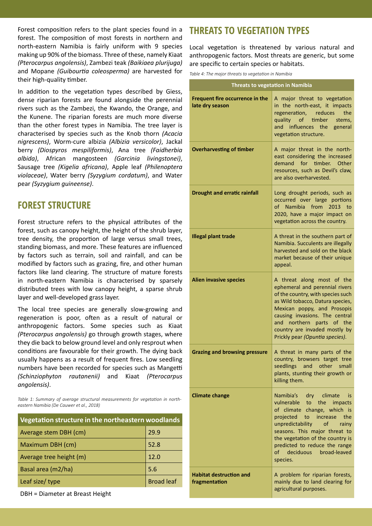Forest composition refers to the plant species found in a forest. The composition of most forests in northern and north-eastern Namibia is fairly uniform with 9 species making up 90% of the biomass. Three of these, namely Kiaat *(Pterocarpus angolensis)*, Zambezi teak *(Baikiaea plurijuga)*  and Mopane *(Guibourtia coleosperma)* are harvested for their high-quality timber.

In addition to the vegetation types described by Giess, dense riparian forests are found alongside the perennial rivers such as the Zambezi, the Kwando, the Orange, and the Kunene. The riparian forests are much more diverse than the other forest types in Namibia. The tree layer is characterised by species such as the Knob thorn *(Acacia nigrescens)*, Worm-cure albizia *(Albizia versicolor)*, Jackal berry *(Diospyros mespiliformis)*, Ana tree *(Faidherbia albida)*, African mangosteen *(Garcinia livingstonei)*, Sausage tree *(Kigelia africana)*, Apple leaf *(Philenoptera violaceae)*, Water berry *(Syzygium cordatum)*, and Water pear *(Syzygium guineense)*.

### **FOREST STRUCTURE**

Forest structure refers to the physical attributes of the forest, such as canopy height, the height of the shrub layer, tree density, the proportion of large versus small trees, standing biomass, and more. These features are influenced by factors such as terrain, soil and rainfall, and can be modified by factors such as grazing, fire, and other human factors like land clearing. The structure of mature forests in north-eastern Namibia is characterised by sparsely distributed trees with low canopy height, a sparse shrub layer and well-developed grass layer.

The local tree species are generally slow-growing and regeneration is poor, often as a result of natural or anthropogenic factors. Some species such as Kiaat *(Pterocarpus angolensis)* go through growth stages, where they die back to below ground level and only resprout when conditions are favourable for their growth. The dying back usually happens as a result of frequent fires. Low seedling numbers have been recorded for species such as Mangetti *(Schinziophyton rautanenii)* and Kiaat *(Pterocarpus angolensis)*.

*Table 1: Summary of average structural measurements for vegetation in northeastern Namibia (De Cauwer et al., 2018)*

| Vegetation structure in the northeastern woodlands |                   |
|----------------------------------------------------|-------------------|
| Average stem DBH (cm)                              | 29.9              |
| Maximum DBH (cm)                                   | 52.8              |
| Average tree height (m)                            | 12.0              |
| Basal area (m2/ha)                                 | 5.6               |
| Leaf size/ type                                    | <b>Broad leaf</b> |

DBH = Diameter at Breast Height

# **THREATS TO VEGETATION TYPES**

Local vegetation is threatened by various natural and anthropogenic factors. Most threats are generic, but some are specific to certain species or habitats.

*Table 4: The major threats to vegetation in Namibia* 

| <b>Threats to vegetation in Namibia</b>            |                                                                                                                                                                                                                                                                                                           |
|----------------------------------------------------|-----------------------------------------------------------------------------------------------------------------------------------------------------------------------------------------------------------------------------------------------------------------------------------------------------------|
| Frequent fire occurrence in the<br>late dry season | A major threat to vegetation<br>in the north-east, it impacts<br>regeneration, reduces<br>the<br>quality of<br>timber<br>stems,<br>and<br>influences the<br>general<br>vegetation structure.                                                                                                              |
| <b>Overharvesting of timber</b>                    | A major threat in the north-<br>east considering the increased<br>demand for timber. Other<br>resources, such as Devil's claw,<br>are also overharvested.                                                                                                                                                 |
| <b>Drought and erratic rainfall</b>                | Long drought periods, such as<br>occurred over large portions<br>of Namibia from 2013 to<br>2020, have a major impact on<br>vegetation across the country.                                                                                                                                                |
| <b>Illegal plant trade</b>                         | A threat in the southern part of<br>Namibia. Succulents are illegally<br>harvested and sold on the black<br>market because of their unique<br>appeal.                                                                                                                                                     |
| <b>Alien invasive species</b>                      | A threat along most of the<br>ephemeral and perennial rivers<br>of the country, with species such<br>as Wild tobacco, Datura species,<br>Mexican poppy, and Prosopis<br>causing invasions. The central<br>and northern parts of the<br>country are invaded mostly by<br>Prickly pear (Opuntia species).   |
| <b>Grazing and browsing pressure</b>               | A threat in many parts of the<br>country, browsers target tree<br>seedlings and other small<br>plants, stunting their growth or<br>killing them.                                                                                                                                                          |
| <b>Climate change</b>                              | Namibia's dry climate<br>is is<br>vulnerable to the impacts<br>of climate change, which is<br>projected to increase the<br>unpredictability of<br>rainy<br>seasons. This major threat to<br>the vegetation of the country is<br>predicted to reduce the range<br>deciduous broad-leaved<br>of<br>species. |
| <b>Habitat destruction and</b><br>fragmentation    | A problem for riparian forests,<br>mainly due to land clearing for<br>agricultural purposes.                                                                                                                                                                                                              |